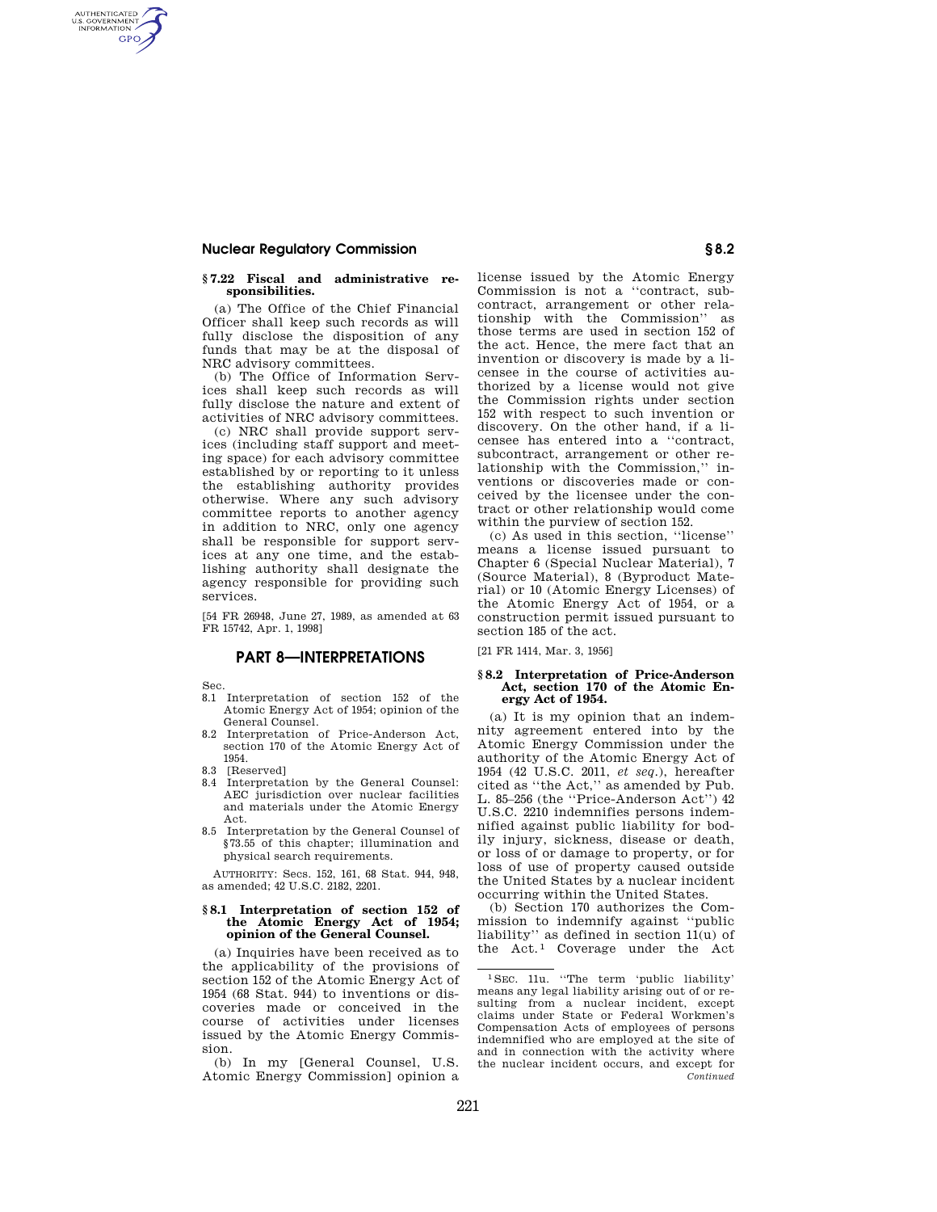## **Nuclear Regulatory Commission § 8.2**

### **§ 7.22 Fiscal and administrative responsibilities.**

(a) The Office of the Chief Financial Officer shall keep such records as will fully disclose the disposition of any funds that may be at the disposal of NRC advisory committees.

(b) The Office of Information Services shall keep such records as will fully disclose the nature and extent of activities of NRC advisory committees.

(c) NRC shall provide support services (including staff support and meeting space) for each advisory committee established by or reporting to it unless the establishing authority provides otherwise. Where any such advisory committee reports to another agency in addition to NRC, only one agency shall be responsible for support services at any one time, and the establishing authority shall designate the agency responsible for providing such services.

[54 FR 26948, June 27, 1989, as amended at 63 FR 15742, Apr. 1, 1998]

# **PART 8—INTERPRETATIONS**

Sec.

AUTHENTICATED<br>U.S. GOVERNMENT<br>INFORMATION **GPO** 

- 8.1 Interpretation of section 152 of the Atomic Energy Act of 1954; opinion of the General Counsel.
- 8.2 Interpretation of Price-Anderson Act, section 170 of the Atomic Energy Act of 1954.
- 8.3 [Reserved]
- 8.4 Interpretation by the General Counsel: AEC jurisdiction over nuclear facilities and materials under the Atomic Energy Act.
- 8.5 Interpretation by the General Counsel of §73.55 of this chapter; illumination and physical search requirements.

AUTHORITY: Secs. 152, 161, 68 Stat. 944, 948, as amended; 42 U.S.C. 2182, 2201.

#### **§ 8.1 Interpretation of section 152 of the Atomic Energy Act of 1954; opinion of the General Counsel.**

(a) Inquiries have been received as to the applicability of the provisions of section 152 of the Atomic Energy Act of 1954 (68 Stat. 944) to inventions or discoveries made or conceived in the course of activities under licenses issued by the Atomic Energy Commission.

(b) In my [General Counsel, U.S. Atomic Energy Commission] opinion a license issued by the Atomic Energy Commission is not a ''contract, subcontract, arrangement or other relationship with the Commission'' as those terms are used in section 152 of the act. Hence, the mere fact that an invention or discovery is made by a licensee in the course of activities authorized by a license would not give the Commission rights under section 152 with respect to such invention or discovery. On the other hand, if a licensee has entered into a ''contract, subcontract, arrangement or other relationship with the Commission,'' inventions or discoveries made or conceived by the licensee under the contract or other relationship would come within the purview of section 152.

(c) As used in this section, ''license'' means a license issued pursuant to Chapter 6 (Special Nuclear Material), 7 (Source Material), 8 (Byproduct Material) or 10 (Atomic Energy Licenses) of the Atomic Energy Act of 1954, or a construction permit issued pursuant to section 185 of the act.

[21 FR 1414, Mar. 3, 1956]

#### **§ 8.2 Interpretation of Price-Anderson Act, section 170 of the Atomic Energy Act of 1954.**

(a) It is my opinion that an indemnity agreement entered into by the Atomic Energy Commission under the authority of the Atomic Energy Act of 1954 (42 U.S.C. 2011, *et seq*.), hereafter cited as ''the Act,'' as amended by Pub. L. 85–256 (the ''Price-Anderson Act'') 42 U.S.C. 2210 indemnifies persons indemnified against public liability for bodily injury, sickness, disease or death, or loss of or damage to property, or for loss of use of property caused outside the United States by a nuclear incident occurring within the United States.

(b) Section 170 authorizes the Commission to indemnify against ''public liability'' as defined in section 11(u) of the Act.<sup>1</sup> Coverage under the Act

<sup>1</sup> SEC. 11u. ''The term 'public liability' means any legal liability arising out of or resulting from a nuclear incident, except claims under State or Federal Workmen's Compensation Acts of employees of persons indemnified who are employed at the site of and in connection with the activity where the nuclear incident occurs, and except for *Continued*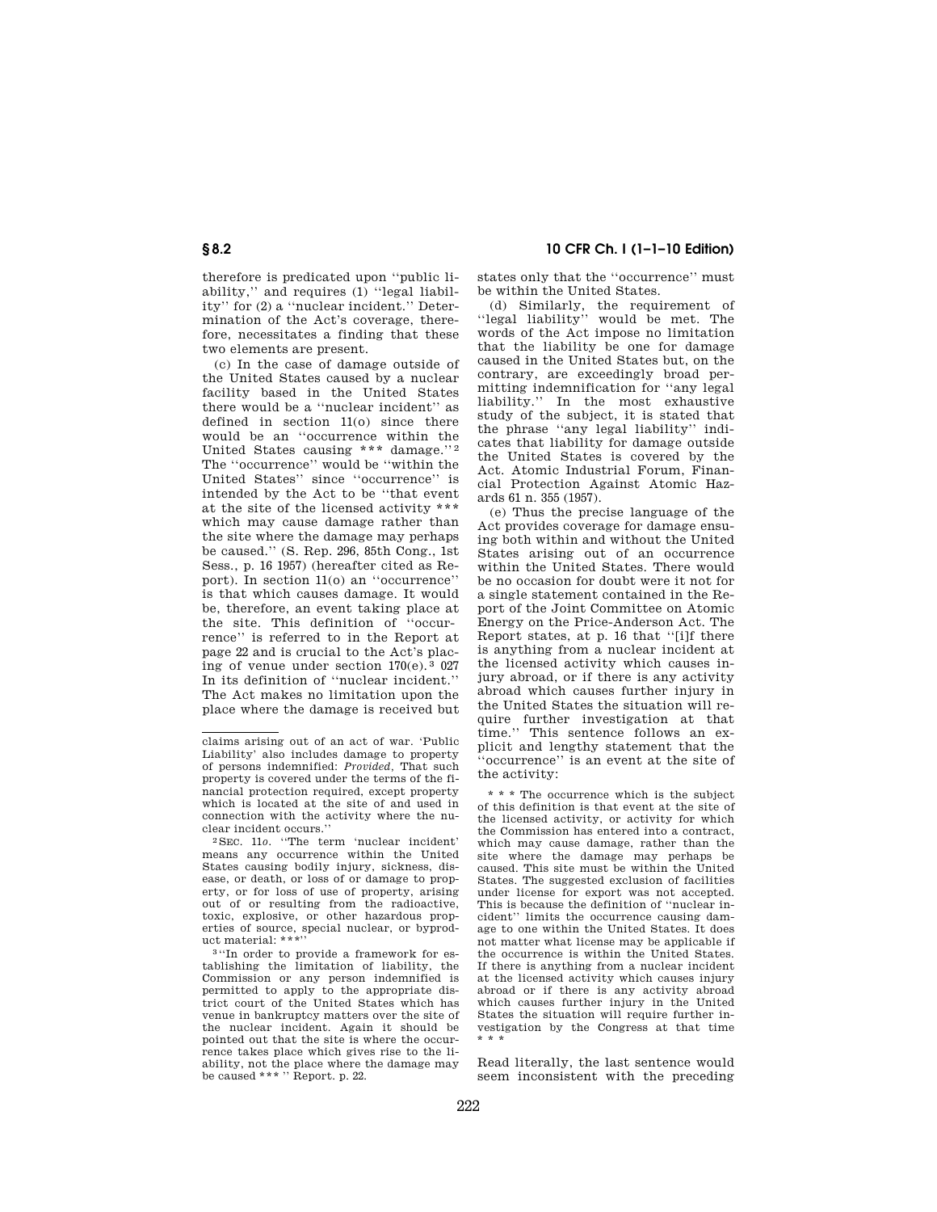therefore is predicated upon ''public liability,'' and requires (1) ''legal liability'' for (2) a ''nuclear incident.'' Determination of the Act's coverage, therefore, necessitates a finding that these two elements are present.

(c) In the case of damage outside of the United States caused by a nuclear facility based in the United States there would be a ''nuclear incident'' as defined in section 11(o) since there would be an ''occurrence within the United States causing \*\*\* damage."2 The ''occurrence'' would be ''within the United States'' since ''occurrence'' is intended by the Act to be ''that event at the site of the licensed activity \*\*\* which may cause damage rather than the site where the damage may perhaps be caused.'' (S. Rep. 296, 85th Cong., 1st Sess., p. 16 1957) (hereafter cited as Report). In section 11(o) an ''occurrence'' is that which causes damage. It would be, therefore, an event taking place at the site. This definition of ''occurrence'' is referred to in the Report at page 22 and is crucial to the Act's placing of venue under section 170(e). 3 027 In its definition of ''nuclear incident.'' The Act makes no limitation upon the place where the damage is received but

# **§ 8.2 10 CFR Ch. I (1–1–10 Edition)**

states only that the ''occurrence'' must be within the United States.

(d) Similarly, the requirement of ''legal liability'' would be met. The words of the Act impose no limitation that the liability be one for damage caused in the United States but, on the contrary, are exceedingly broad permitting indemnification for ''any legal liability.'' In the most exhaustive study of the subject, it is stated that the phrase ''any legal liability'' indicates that liability for damage outside the United States is covered by the Act. Atomic Industrial Forum, Financial Protection Against Atomic Hazards 61 n. 355 (1957).

(e) Thus the precise language of the Act provides coverage for damage ensuing both within and without the United States arising out of an occurrence within the United States. There would be no occasion for doubt were it not for a single statement contained in the Report of the Joint Committee on Atomic Energy on the Price-Anderson Act. The Report states, at p. 16 that ''[i]f there is anything from a nuclear incident at the licensed activity which causes injury abroad, or if there is any activity abroad which causes further injury in the United States the situation will require further investigation at that time.'' This sentence follows an explicit and lengthy statement that the 'occurrence'' is an event at the site of the activity:

\* \* \* The occurrence which is the subject of this definition is that event at the site of the licensed activity, or activity for which the Commission has entered into a contract, which may cause damage, rather than the site where the damage may perhaps be caused. This site must be within the United States. The suggested exclusion of facilities under license for export was not accepted. This is because the definition of ''nuclear incident'' limits the occurrence causing damage to one within the United States. It does not matter what license may be applicable if the occurrence is within the United States. If there is anything from a nuclear incident at the licensed activity which causes injury abroad or if there is any activity abroad which causes further injury in the United States the situation will require further investigation by the Congress at that time \* \* \*

Read literally, the last sentence would seem inconsistent with the preceding

claims arising out of an act of war. 'Public Liability' also includes damage to property of persons indemnified: *Provided,* That such property is covered under the terms of the financial protection required, except property which is located at the site of and used in connection with the activity where the nu-<br>clear incident occurs."

<sup>&</sup>lt;sup>2</sup>SEC. 11*o.* "The term 'nuclear incident' means any occurrence within the United States causing bodily injury, sickness, disease, or death, or loss of or damage to property, or for loss of use of property, arising out of or resulting from the radioactive, toxic, explosive, or other hazardous properties of source, special nuclear, or byproduct material: \*\*\*'' 3 ''In order to provide a framework for es-

tablishing the limitation of liability, the Commission or any person indemnified is permitted to apply to the appropriate district court of the United States which has venue in bankruptcy matters over the site of the nuclear incident. Again it should be pointed out that the site is where the occurrence takes place which gives rise to the liability, not the place where the damage may be caused \*\*\* '' Report. p. 22.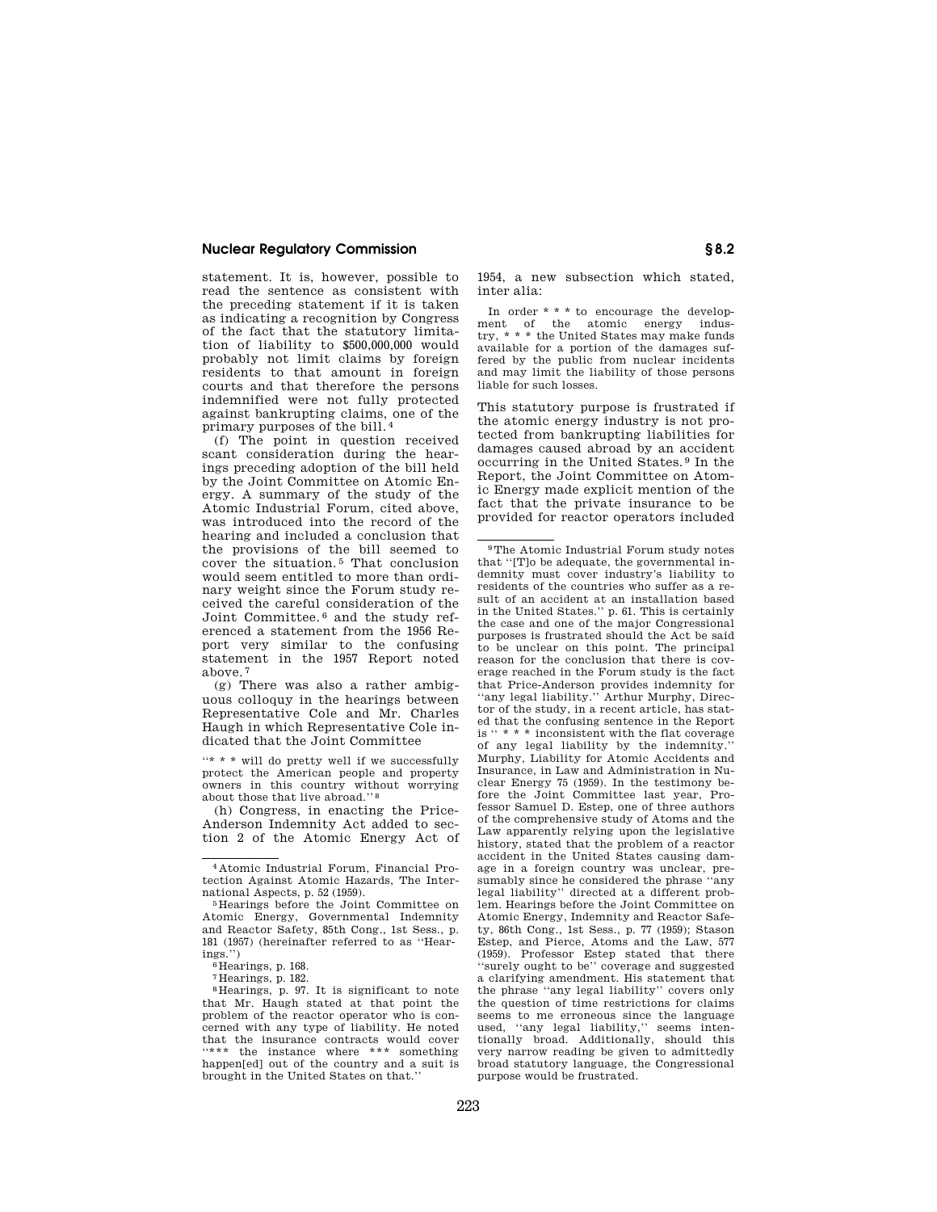### **Nuclear Regulatory Commission § 8.2**

statement. It is, however, possible to read the sentence as consistent with the preceding statement if it is taken as indicating a recognition by Congress of the fact that the statutory limitation of liability to \$500,000,000 would probably not limit claims by foreign residents to that amount in foreign courts and that therefore the persons indemnified were not fully protected against bankrupting claims, one of the primary purposes of the bill. 4

(f) The point in question received scant consideration during the hearings preceding adoption of the bill held by the Joint Committee on Atomic Energy. A summary of the study of the Atomic Industrial Forum, cited above, was introduced into the record of the hearing and included a conclusion that the provisions of the bill seemed to cover the situation. 5 That conclusion would seem entitled to more than ordinary weight since the Forum study received the careful consideration of the Joint Committee. 6 and the study referenced a statement from the 1956 Report very similar to the confusing statement in the 1957 Report noted above. 7

(g) There was also a rather ambiguous colloquy in the hearings between Representative Cole and Mr. Charles Haugh in which Representative Cole indicated that the Joint Committee

"\* \* \* will do pretty well if we successfully protect the American people and property owners in this country without worrying about those that live abroad.'' 8

(h) Congress, in enacting the Price-Anderson Indemnity Act added to section 2 of the Atomic Energy Act of

7 Hearings, p. 182.

1954, a new subsection which stated, inter alia:

In order \* \* \* to encourage the development of the atomic energy industry, \* \* \* the United States may make funds available for a portion of the damages suffered by the public from nuclear incidents and may limit the liability of those persons liable for such losses.

This statutory purpose is frustrated if the atomic energy industry is not protected from bankrupting liabilities for damages caused abroad by an accident occurring in the United States. 9 In the Report, the Joint Committee on Atomic Energy made explicit mention of the fact that the private insurance to be provided for reactor operators included

<sup>4</sup> Atomic Industrial Forum, Financial Protection Against Atomic Hazards, The Inter-<br>national Aspects, p. 52 (1959).

<sup>&</sup>lt;sup>5</sup> Hearings before the Joint Committee on Atomic Energy, Governmental Indemnity and Reactor Safety, 85th Cong., 1st Sess., p. 181 (1957) (hereinafter referred to as ''Hearings.")<br> $6$  Hearings, p. 168.

<sup>8</sup> Hearings, p. 97. It is significant to note that Mr. Haugh stated at that point the problem of the reactor operator who is concerned with any type of liability. He noted that the insurance contracts would cover "\*\*\* the instance where \*\*\* something happen[ed] out of the country and a suit is brought in the United States on that.''

<sup>9</sup>The Atomic Industrial Forum study notes that ''[T]o be adequate, the governmental indemnity must cover industry's liability to residents of the countries who suffer as a result of an accident at an installation based in the United States.'' p. 61. This is certainly the case and one of the major Congressional purposes is frustrated should the Act be said to be unclear on this point. The principal reason for the conclusion that there is coverage reached in the Forum study is the fact that Price-Anderson provides indemnity for ''any legal liability.'' Arthur Murphy, Director of the study, in a recent article, has stated that the confusing sentence in the Report is '' \* \* \* inconsistent with the flat coverage of any legal liability by the indemnity.' Murphy, Liability for Atomic Accidents and Insurance, in Law and Administration in Nuclear Energy 75 (1959). In the testimony before the Joint Committee last year, Professor Samuel D. Estep, one of three authors of the comprehensive study of Atoms and the Law apparently relying upon the legislative history, stated that the problem of a reactor accident in the United States causing damage in a foreign country was unclear, presumably since he considered the phrase ''any legal liability'' directed at a different problem. Hearings before the Joint Committee on Atomic Energy, Indemnity and Reactor Safety, 86th Cong., 1st Sess., p. 77 (1959); Stason Estep, and Pierce, Atoms and the Law, 577 (1959). Professor Estep stated that there ''surely ought to be'' coverage and suggested a clarifying amendment. His statement that the phrase ''any legal liability'' covers only the question of time restrictions for claims seems to me erroneous since the language used, ''any legal liability,'' seems intentionally broad. Additionally, should this very narrow reading be given to admittedly broad statutory language, the Congressional purpose would be frustrated.